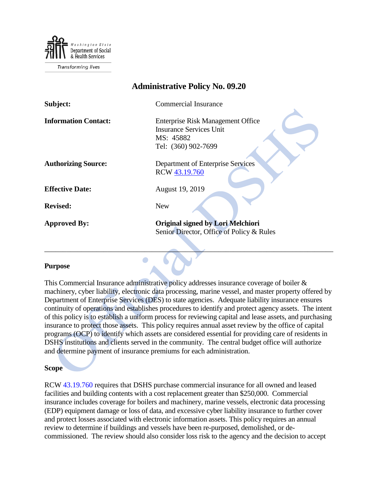

# **Administrative Policy No. 09.20 Subject:** Commercial Insurance **Information Contact:** Enterprise Risk Management Office Insurance Services Unit MS: 45882 Tel: (360) 902-7699 **Authorizing Source:** Department of Enterprise Services RCW [43.19.760](http://app.leg.wa.gov/RCW/default.aspx?cite=43.19.760) **Effective Date:** August 19, 2019 **Revised:** New **Approved By: Original signed by Lori Melchiori** Senior Director, Office of Policy & Rules

## **Purpose**

This Commercial Insurance administrative policy addresses insurance coverage of boiler & machinery, cyber liability, electronic data processing, marine vessel, and master property offered by Department of Enterprise Services (DES) to state agencies. Adequate liability insurance ensures continuity of operations and establishes procedures to identify and protect agency assets. The intent of this policy is to establish a uniform process for reviewing capital and lease assets, and purchasing insurance to protect those assets. This policy requires annual asset review by the office of capital programs (OCP) to identify which assets are considered essential for providing care of residents in DSHS institutions and clients served in the community. The central budget office will authorize and determine payment of insurance premiums for each administration.

\_\_\_\_\_\_\_\_\_\_\_\_\_\_\_\_\_\_\_\_\_\_\_\_\_\_\_\_\_\_\_\_\_\_\_\_\_\_\_\_\_\_\_\_\_\_\_\_\_\_\_\_\_\_\_\_\_\_\_\_\_\_\_\_\_\_\_\_\_\_\_\_\_\_\_\_\_\_

O

#### **Scope**

RCW [43.19.760](http://app.leg.wa.gov/RCW/default.aspx?cite=43.19.760) requires that DSHS purchase commercial insurance for all owned and leased facilities and building contents with a cost replacement greater than \$250,000. Commercial insurance includes coverage for boilers and machinery, marine vessels, electronic data processing (EDP) equipment damage or loss of data, and excessive cyber liability insurance to further cover and protect losses associated with electronic information assets. This policy requires an annual review to determine if buildings and vessels have been re-purposed, demolished, or decommissioned. The review should also consider loss risk to the agency and the decision to accept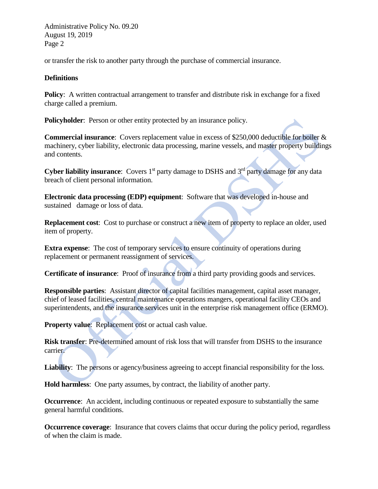Administrative Policy No. 09.20 August 19, 2019 Page 2

or transfer the risk to another party through the purchase of commercial insurance.

#### **Definitions**

**Policy**: A written contractual arrangement to transfer and distribute risk in exchange for a fixed charge called a premium.

**Policyholder:** Person or other entity protected by an insurance policy.

**Commercial insurance**: Covers replacement value in excess of \$250,000 deductible for boiler & machinery, cyber liability, electronic data processing, marine vessels, and master property buildings and contents.

**Cyber liability insurance:** Covers 1<sup>st</sup> party damage to DSHS and 3<sup>rd</sup> party damage for any data breach of client personal information.

**Electronic data processing (EDP) equipment**: Software that was developed in-house and sustained damage or loss of data.

**Replacement cost**: Cost to purchase or construct a new item of property to replace an older, used item of property.

**Extra expense**: The cost of temporary services to ensure continuity of operations during replacement or permanent reassignment of services.

**Certificate of insurance**: Proof of insurance from a third party providing goods and services.

**Responsible parties**: Assistant director of capital facilities management, capital asset manager, chief of leased facilities, central maintenance operations mangers, operational facility CEOs and superintendents, and the insurance services unit in the enterprise risk management office (ERMO).

**Property value**: Replacement cost or actual cash value.

**Risk transfer**: Pre-determined amount of risk loss that will transfer from DSHS to the insurance carrier.

Liability: The persons or agency/business agreeing to accept financial responsibility for the loss.

**Hold harmless**: One party assumes, by contract, the liability of another party.

**Occurrence**: An accident, including continuous or repeated exposure to substantially the same general harmful conditions.

**Occurrence coverage:** Insurance that covers claims that occur during the policy period, regardless of when the claim is made.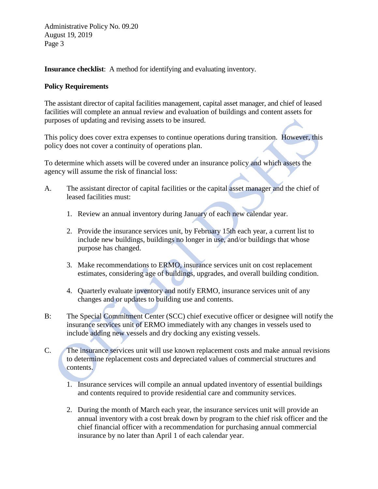Administrative Policy No. 09.20 August 19, 2019 Page 3

**Insurance checklist**: A method for identifying and evaluating inventory.

### **Policy Requirements**

The assistant director of capital facilities management, capital asset manager, and chief of leased facilities will complete an annual review and evaluation of buildings and content assets for purposes of updating and revising assets to be insured.

This policy does cover extra expenses to continue operations during transition. However, this policy does not cover a continuity of operations plan.

To determine which assets will be covered under an insurance policy and which assets the agency will assume the risk of financial loss:

- A. The assistant director of capital facilities or the capital asset manager and the chief of leased facilities must:
	- 1. Review an annual inventory during January of each new calendar year.
	- 2. Provide the insurance services unit, by February 15th each year, a current list to include new buildings, buildings no longer in use, and/or buildings that whose purpose has changed.
	- 3. Make recommendations to ERMO, insurance services unit on cost replacement estimates, considering age of buildings, upgrades, and overall building condition.
	- 4. Quarterly evaluate inventory and notify ERMO, insurance services unit of any changes and or updates to building use and contents.
- B: The Special Commitment Center (SCC) chief executive officer or designee will notify the insurance services unit of ERMO immediately with any changes in vessels used to include adding new vessels and dry docking any existing vessels.
- C. The insurance services unit will use known replacement costs and make annual revisions to determine replacement costs and depreciated values of commercial structures and contents.
	- 1. Insurance services will compile an annual updated inventory of essential buildings and contents required to provide residential care and community services.
	- 2. During the month of March each year, the insurance services unit will provide an annual inventory with a cost break down by program to the chief risk officer and the chief financial officer with a recommendation for purchasing annual commercial insurance by no later than April 1 of each calendar year.